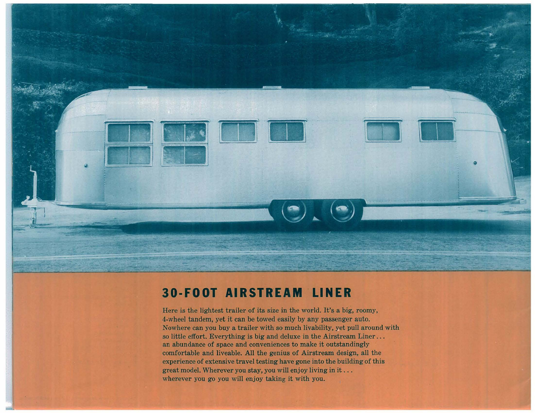

## **30·FOOT AIRSTREAM' LINER**

Here is the lightest trailer of its size in the world. It's a big, roomy, 4-wheel tandem, yet it can be towed easily by any passenger auto. Nowhere can you buy a trailer with so much livability, yet pull around with so little effort. Everything is big and deluxe in the Airstream Liner... an abundance of space and conveniences to make it outstandingly comfortable and liveable. All the genius of Airstream design, all the experience of extensive travel testing have gone into the building of this great model. Wherever you stay, you will enjoy living in it  $\dots$ wherever you go you will enjoy taking it with you.